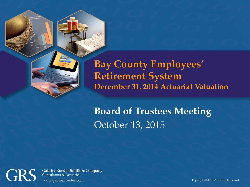

**Bay County Employees' Retirement System December 31, 2014 Actuarial Valuation** 

**Board of Trustees Meeting** October 13, 2015



**Gabriel Roeder Smith & Company Consultants & Actuaries** www.gabrielroeder.com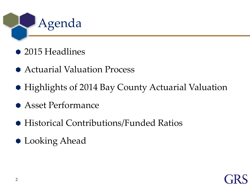

- 2015 Headlines
- Actuarial Valuation Process
- Highlights of 2014 Bay County Actuarial Valuation
- Asset Performance
- Historical Contributions/Funded Ratios
- **C** Looking Ahead

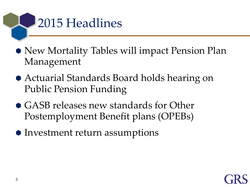

- New Mortality Tables will impact Pension Plan Management
- Actuarial Standards Board holds hearing on Public Pension Funding
- GASB releases new standards for Other Postemployment Benefit plans (OPEBs)
- Investment return assumptions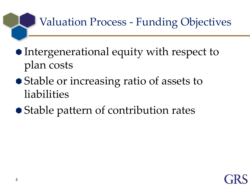Valuation Process - Funding Objectives

- Intergenerational equity with respect to plan costs
- Stable or increasing ratio of assets to liabilities
- Stable pattern of contribution rates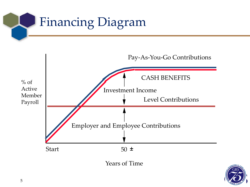



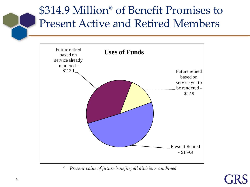### \$314.9 Million\* of Benefit Promises to Present Active and Retired Members



*\* Present value of future benefits; all divisions combined.*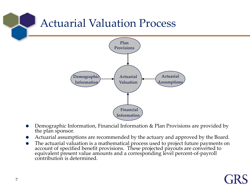

 Demographic Information, Financial Information & Plan Provisions are provided by the plan sponsor.

**Information**

- Actuarial assumptions are recommended by the actuary and approved by the Board.
- The actuarial valuation is a mathematical process used to project future payments on account of specified benefit provisions. These projected payouts are converted to equivalent present value amounts and a corresponding level percent-of-payroll<br>contribution is determined.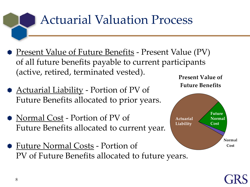# Actuarial Valuation Process

- <u>Present Value of Future Benefits</u> Present Value (PV) of all future benefits payable to current participants (active, retired, terminated vested).
- <u>Actuarial Liability</u> Portion of PV of Future Benefits allocated to prior years.
- Normal Cost Portion of PV of Future Benefits allocated to current year.
- Future Normal Costs Portion of PV of Future Benefits allocated to future years.





8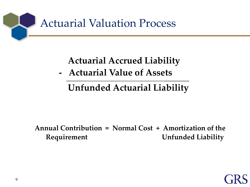

#### **Actuarial Accrued Liability**

 **- Actuarial Value of Assets**

#### **Unfunded Actuarial Liability**

**Annual Contribution = Normal Cost + Amortization of the Requirement Constraining Liability** Requirement

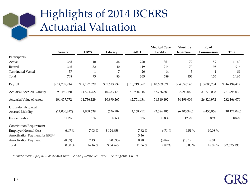|                                  |              |             |             |              | <b>Medical Care</b> | Sheriff's   | Road         |                |
|----------------------------------|--------------|-------------|-------------|--------------|---------------------|-------------|--------------|----------------|
|                                  | General      | <b>DWS</b>  | Library     | <b>BABH</b>  | Facility            | Department  | Commission   | Total          |
| Participants                     |              |             |             |              |                     |             |              |                |
| Active                           | 365          | 40          | 36          | 220          | 361                 | 79          | 59           | 1,160          |
| Retired                          | 346          | 32          | 40          | 119          | 214                 | 70          | 95           | 916            |
| <b>Terminated Vested</b>         | 37           |             | 7           | 26           | 14                  | 3           | $\mathbf{1}$ | 89             |
| Total                            | 748          | 73          | 83          | 365          | 589                 | 152         | 155          | 2,165          |
| Payroll                          | \$14,709,914 | \$2,197,529 | \$1,613,739 | \$10,219,867 | \$10,609,021        | \$4,059,143 | \$3,085,204  | \$46,494,417   |
| Actuarial Accrued Liability      | 93,450,950   | 14,574,768  | 10,253,476  | 46,920,346   | 47,726,386          | 27,793,066  | 31,276,038   | 271,995,030    |
| <b>Actuarial Value of Assets</b> | 104,457,772  | 11,736,129  | 10,890,265  | 42,751,434   | 51,310,492          | 34,199,006  | 26,820,972   | 282,166,070    |
| Unfunded Actuarial               |              |             |             |              |                     |             |              |                |
| <b>Accrued Liability</b>         | (11,006,822) | 2,838,639   | (636,789)   | 4,168,912    | (3,584,106)         | (6,405,940) | 4,455,066    | (10, 171, 040) |
| <b>Funded Ratio</b>              | 112%         | 81%         | 106%        | 91%          | 108%                | 123%        | $86\%$       | 104%           |
| Contribution Requirement         |              |             |             |              |                     |             |              |                |
| <b>Employer Normal Cost</b>      | 6.47%        | 7.03 %      | \$124,658   | 7.62 %       | 6.71 %              | 9.51 %      | 10.08 %      |                |
| Amortization Payment for ERIP^   |              |             |             | 3.46         |                     |             |              |                |
| Amortization Payment             | (8.39)       | 7.13        | (90, 393)   | 0.28         | (3.84)              | (18.19)     | 8.01         |                |
| Total                            | $0.00 \%$    | 14.16 %     | \$34,265    | 11.36 %      | 2.87 %              | $0.00 \%$   | 18.09%       | \$2,535,295    |

*^ Amortization payment associated with the Early Retirement Incentive Program (ERIP).*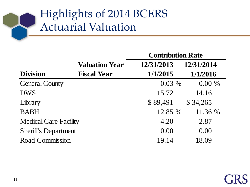|                              |                       | <b>Contribution Rate</b> |            |  |  |  |
|------------------------------|-----------------------|--------------------------|------------|--|--|--|
|                              | <b>Valuation Year</b> | 12/31/2013               | 12/31/2014 |  |  |  |
| <b>Division</b>              | <b>Fiscal Year</b>    | 1/1/2015                 | 1/1/2016   |  |  |  |
| <b>General County</b>        |                       | $0.03\%$                 | $0.00 \%$  |  |  |  |
| <b>DWS</b>                   |                       | 15.72                    | 14.16      |  |  |  |
| Library                      |                       | \$89,491                 | \$34,265   |  |  |  |
| <b>BABH</b>                  |                       | 12.85 %                  | 11.36 %    |  |  |  |
| <b>Medical Care Facility</b> |                       | 4.20                     | 2.87       |  |  |  |
| <b>Sheriff's Department</b>  |                       | 0.00                     | 0.00       |  |  |  |
| <b>Road Commission</b>       |                       | 19.14                    | 18.09      |  |  |  |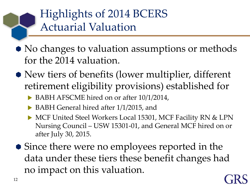- No changes to valuation assumptions or methods for the 2014 valuation.
- New tiers of benefits (lower multiplier, different retirement eligibility provisions) established for
	- ▶ BABH AFSCME hired on or after 10/1/2014,
	- BABH General hired after 1/1/2015, and
	- MCF United Steel Workers Local 15301, MCF Facility RN & LPN Nursing Council – USW 15301-01, and General MCF hired on or after July 30, 2015.
- Since there were no employees reported in the data under these tiers these benefit changes had no impact on this valuation.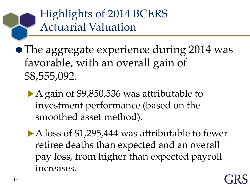• The aggregate experience during 2014 was favorable, with an overall gain of \$8,555,092.

- ▶ A gain of \$9,850,536 was attributable to investment performance (based on the smoothed asset method).
- A loss of \$1,295,444 was attributable to fewer retiree deaths than expected and an overall pay loss, from higher than expected payroll increases.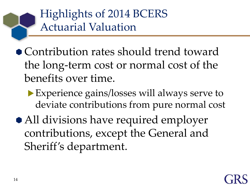- Contribution rates should trend toward the long-term cost or normal cost of the benefits over time.
	- Experience gains/losses will always serve to deviate contributions from pure normal cost
- All divisions have required employer contributions, except the General and Sheriff's department.

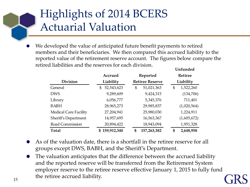**Unfunded** We developed the value of anticipated future benefit payments to retired members and their beneficiaries. We then compared this accrued liability to the reported value of the retirement reserve account. The figures below compare the retired liabilities and the reserves for each division.

|                              | Accrued          | Reported               | <b>Retiree</b><br>Liability |  |  |
|------------------------------|------------------|------------------------|-----------------------------|--|--|
| <b>Division</b>              | Liability        | <b>Retiree Reserve</b> |                             |  |  |
| General                      | 52,543,623<br>\$ | 51,021,363<br>\$       | 1,522,260<br>\$             |  |  |
| <b>DWS</b>                   | 9,289,609        | 9,424,315              | (134,706)                   |  |  |
| Library                      | 6,056,777        | 5,345,376              | 711,401                     |  |  |
| <b>BABH</b>                  | 28,965,273       | 29,985,837             | (1,020,564)                 |  |  |
| <b>Medical Care Facility</b> | 27,204,941       | 25,980,030             | 1,224,911                   |  |  |
| <b>Sheriff's Department</b>  | 14,957,695       | 16,563,367             | (1,605,672)                 |  |  |
| Road Commission              | 20,894,422       | 18,943,094             | 1,951,328                   |  |  |
| Total                        | 159,912,340<br>S | 157,263,382<br>\$      | 2,648,958<br>\$             |  |  |

- As of the valuation date, there is a shortfall in the retiree reserve for all groups except DWS, BABH, and the Sheriff's Department.
- The valuation anticipates that the difference between the accrued liability and the reported reserve will be transferred from the Retirement System employer reserve to the retiree reserve effective January 1, 2015 to fully fund the retiree accrued liability.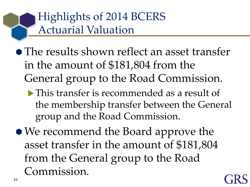- The results shown reflect an asset transfer in the amount of \$181,804 from the General group to the Road Commission.
	- This transfer is recommended as a result of the membership transfer between the General group and the Road Commission.
- We recommend the Board approve the asset transfer in the amount of \$181,804 from the General group to the Road Commission.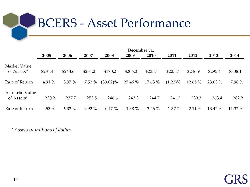# BCERS - Asset Performance

|                                      | December 31, |          |          |             |         |          |            |           |         |         |
|--------------------------------------|--------------|----------|----------|-------------|---------|----------|------------|-----------|---------|---------|
|                                      | 2005         | 2006     | 2007     | 2008        | 2009    | 2010     | 2011       | 2012      | 2013    | 2014    |
| Market Value<br>of Assets*           | \$231.4      | \$243.6  | \$254.2  | \$170.2     | \$206.0 | \$235.4  | \$225.7    | \$246.9   | \$295.4 | \$308.1 |
| Rate of Return                       | 4.91 %       | 8.37 %   | $7.52\%$ | $(30.62)\%$ | 25.46 % | 17.63 %  | $(1.22)\%$ | 12.65 $%$ | 23.03 % | 7.98 %  |
| <b>Actuarial Value</b><br>of Assets* | 230.2        | 237.7    | 253.5    | 246.6       | 243.3   | 244.7    | 241.2      | 239.3     | 263.4   | 282.2   |
| Rate of Return                       | 4.53 %       | $6.32\%$ | $9.92\%$ | $0.17\%$    | 1.38 %  | $3.26\%$ | $1.37\%$   | $2.11\%$  | 13.42 % | 11.32 % |

*\* Assets in millions of dollars.*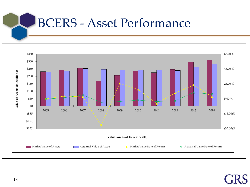### BCERS - Asset Performance

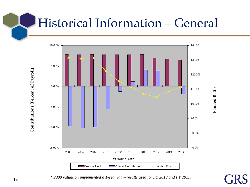# Historical Information – General



**Funded Ratio**

**Funded Ratio** 

*\* 2009 valuation implemented a 1-year lag – results used for FY 2010 and FY 2011.*

Contributions (Percent of Payroll) **Contributions (Percent of Payroll)**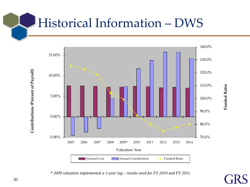## Historical Information – DWS



*\* 2009 valuation implemented a 1-year lag – results used for FY 2010 and FY 2011.*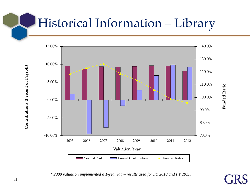# Historical Information – Library



*\* 2009 valuation implemented a 1-year lag – results used for FY 2010 and FY 2011.*

Contributions (Percent of Payroll) **Contributions (Percent of Payroll)**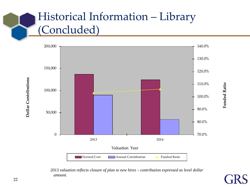### Historical Information – Library (Concluded)



*2013 valuation reflects closure of plan to new hires – contribution expressed as level dollar amount.*

**Funded Ratio Funded Ratio**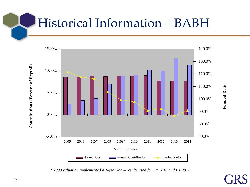### Historical Information – BABH



*\* 2009 valuation implemented a 1-year lag – results used for FY 2010 and FY 2011.*

**Funded Ratio Funded Ratio**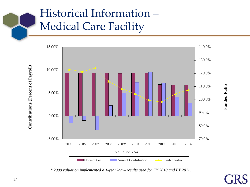### Historical Information – Medical Care Facility



*\* 2009 valuation implemented a 1-year lag – results used for FY 2010 and FY 2011.*

**Funded Ratio Funded Ratio**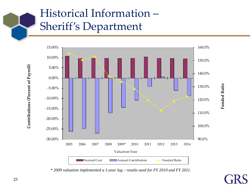### Historical Information – Sheriff's Department



*\* 2009 valuation implemented a 1-year lag – results used for FY 2010 and FY 2011.*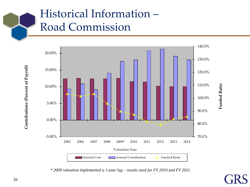### Historical Information – Road Commission



*\* 2009 valuation implemented a 1-year lag – results used for FY 2010 and FY 2011.*

Contributions (Percent of Payroll) **Contributions (Percent of Payroll)**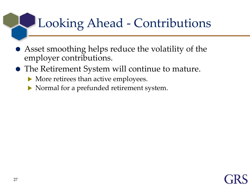# Looking Ahead - Contributions

- Asset smoothing helps reduce the volatility of the employer contributions.
- The Retirement System will continue to mature.
	- More retirees than active employees.
	- Normal for a prefunded retirement system.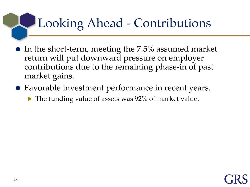# Looking Ahead - Contributions

- $\bullet$  In the short-term, meeting the 7.5% assumed market return will put downward pressure on employer contributions due to the remaining phase-in of past market gains.
- Favorable investment performance in recent years.
	- The funding value of assets was 92% of market value.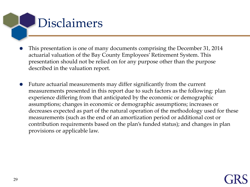

- This presentation is one of many documents comprising the December 31, 2014 actuarial valuation of the Bay County Employees' Retirement System. This presentation should not be relied on for any purpose other than the purpose described in the valuation report.
- Future actuarial measurements may differ significantly from the current measurements presented in this report due to such factors as the following: plan experience differing from that anticipated by the economic or demographic assumptions; changes in economic or demographic assumptions; increases or decreases expected as part of the natural operation of the methodology used for these measurements (such as the end of an amortization period or additional cost or contribution requirements based on the plan's funded status); and changes in plan provisions or applicable law.